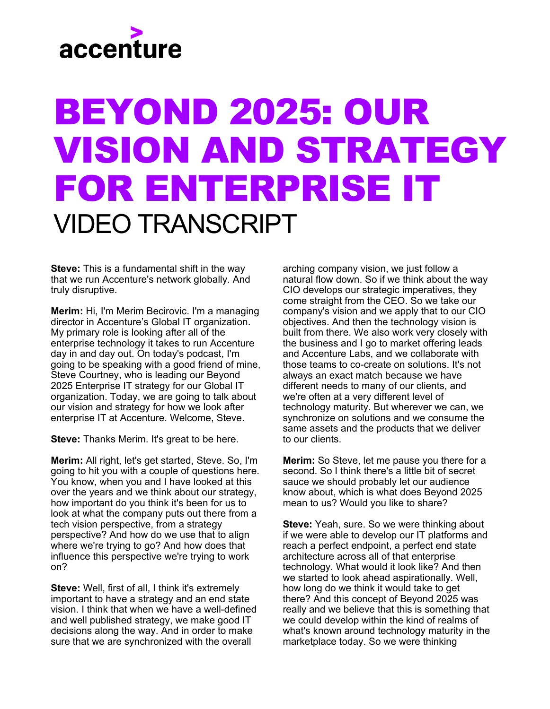## accenture

## BEYOND 2025: OUR VISION AND STRATEGY FOR ENTERPRISE IT VIDEO TRANSCRIPT

**Steve:** This is a fundamental shift in the way that we run Accenture's network globally. And truly disruptive.

**Merim:** Hi, I'm Merim Becirovic. I'm a managing director in Accenture's Global IT organization. My primary role is looking after all of the enterprise technology it takes to run Accenture day in and day out. On today's podcast, I'm going to be speaking with a good friend of mine, Steve Courtney, who is leading our Beyond 2025 Enterprise IT strategy for our Global IT organization. Today, we are going to talk about our vision and strategy for how we look after enterprise IT at Accenture. Welcome, Steve.

**Steve:** Thanks Merim. It's great to be here.

**Merim:** All right, let's get started, Steve. So, I'm going to hit you with a couple of questions here. You know, when you and I have looked at this over the years and we think about our strategy, how important do you think it's been for us to look at what the company puts out there from a tech vision perspective, from a strategy perspective? And how do we use that to align where we're trying to go? And how does that influence this perspective we're trying to work on?

**Steve:** Well, first of all, I think it's extremely important to have a strategy and an end state vision. I think that when we have a well-defined and well published strategy, we make good IT decisions along the way. And in order to make sure that we are synchronized with the overall

arching company vision, we just follow a natural flow down. So if we think about the way CIO develops our strategic imperatives, they come straight from the CEO. So we take our company's vision and we apply that to our CIO objectives. And then the technology vision is built from there. We also work very closely with the business and I go to market offering leads and Accenture Labs, and we collaborate with those teams to co-create on solutions. It's not always an exact match because we have different needs to many of our clients, and we're often at a very different level of technology maturity. But wherever we can, we synchronize on solutions and we consume the same assets and the products that we deliver to our clients.

**Merim:** So Steve, let me pause you there for a second. So I think there's a little bit of secret sauce we should probably let our audience know about, which is what does Beyond 2025 mean to us? Would you like to share?

**Steve:** Yeah, sure. So we were thinking about if we were able to develop our IT platforms and reach a perfect endpoint, a perfect end state architecture across all of that enterprise technology. What would it look like? And then we started to look ahead aspirationally. Well, how long do we think it would take to get there? And this concept of Beyond 2025 was really and we believe that this is something that we could develop within the kind of realms of what's known around technology maturity in the marketplace today. So we were thinking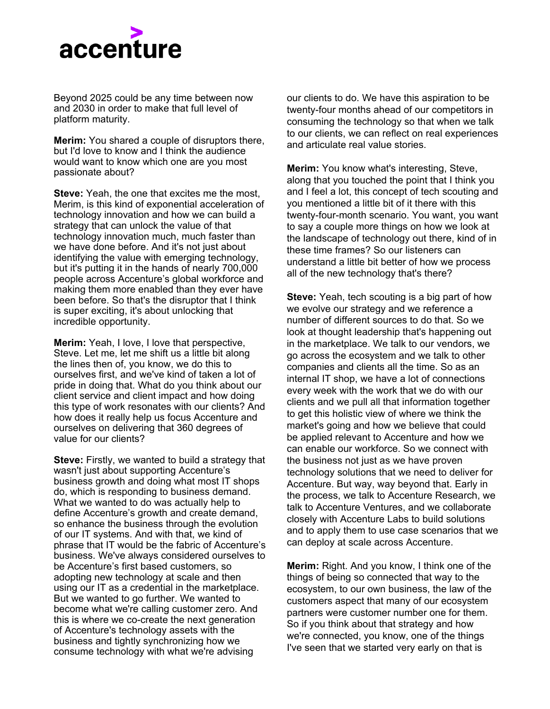

Beyond 2025 could be any time between now and 2030 in order to make that full level of platform maturity.

**Merim:** You shared a couple of disruptors there, but I'd love to know and I think the audience would want to know which one are you most passionate about?

**Steve:** Yeah, the one that excites me the most. Merim, is this kind of exponential acceleration of technology innovation and how we can build a strategy that can unlock the value of that technology innovation much, much faster than we have done before. And it's not just about identifying the value with emerging technology, but it's putting it in the hands of nearly 700,000 people across Accenture's global workforce and making them more enabled than they ever have been before. So that's the disruptor that I think is super exciting, it's about unlocking that incredible opportunity.

**Merim:** Yeah, I love, I love that perspective, Steve. Let me, let me shift us a little bit along the lines then of, you know, we do this to ourselves first, and we've kind of taken a lot of pride in doing that. What do you think about our client service and client impact and how doing this type of work resonates with our clients? And how does it really help us focus Accenture and ourselves on delivering that 360 degrees of value for our clients?

**Steve:** Firstly, we wanted to build a strategy that wasn't just about supporting Accenture's business growth and doing what most IT shops do, which is responding to business demand. What we wanted to do was actually help to define Accenture's growth and create demand, so enhance the business through the evolution of our IT systems. And with that, we kind of phrase that IT would be the fabric of Accenture's business. We've always considered ourselves to be Accenture's first based customers, so adopting new technology at scale and then using our IT as a credential in the marketplace. But we wanted to go further. We wanted to become what we're calling customer zero. And this is where we co-create the next generation of Accenture's technology assets with the business and tightly synchronizing how we consume technology with what we're advising

our clients to do. We have this aspiration to be twenty-four months ahead of our competitors in consuming the technology so that when we talk to our clients, we can reflect on real experiences and articulate real value stories.

**Merim:** You know what's interesting, Steve, along that you touched the point that I think you and I feel a lot, this concept of tech scouting and you mentioned a little bit of it there with this twenty-four-month scenario. You want, you want to say a couple more things on how we look at the landscape of technology out there, kind of in these time frames? So our listeners can understand a little bit better of how we process all of the new technology that's there?

**Steve:** Yeah, tech scouting is a big part of how we evolve our strategy and we reference a number of different sources to do that. So we look at thought leadership that's happening out in the marketplace. We talk to our vendors, we go across the ecosystem and we talk to other companies and clients all the time. So as an internal IT shop, we have a lot of connections every week with the work that we do with our clients and we pull all that information together to get this holistic view of where we think the market's going and how we believe that could be applied relevant to Accenture and how we can enable our workforce. So we connect with the business not just as we have proven technology solutions that we need to deliver for Accenture. But way, way beyond that. Early in the process, we talk to Accenture Research, we talk to Accenture Ventures, and we collaborate closely with Accenture Labs to build solutions and to apply them to use case scenarios that we can deploy at scale across Accenture.

**Merim:** Right. And you know, I think one of the things of being so connected that way to the ecosystem, to our own business, the law of the customers aspect that many of our ecosystem partners were customer number one for them. So if you think about that strategy and how we're connected, you know, one of the things I've seen that we started very early on that is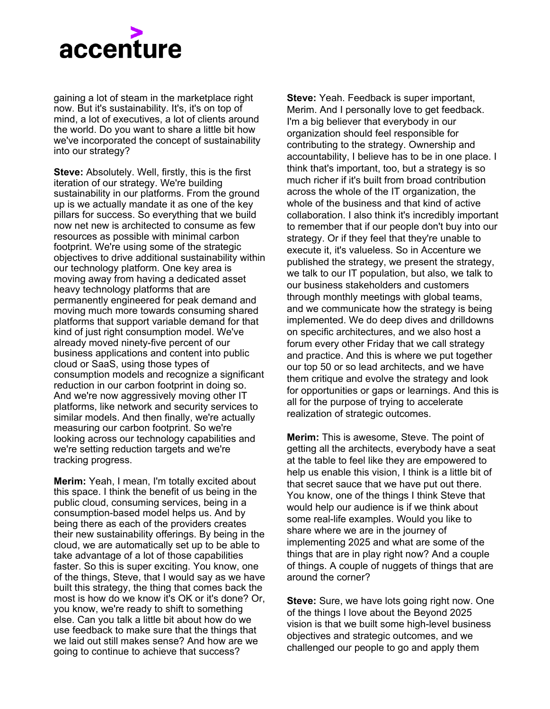

gaining a lot of steam in the marketplace right now. But it's sustainability. It's, it's on top of mind, a lot of executives, a lot of clients around the world. Do you want to share a little bit how we've incorporated the concept of sustainability into our strategy?

**Steve:** Absolutely. Well, firstly, this is the first iteration of our strategy. We're building sustainability in our platforms. From the ground up is we actually mandate it as one of the key pillars for success. So everything that we build now net new is architected to consume as few resources as possible with minimal carbon footprint. We're using some of the strategic objectives to drive additional sustainability within our technology platform. One key area is moving away from having a dedicated asset heavy technology platforms that are permanently engineered for peak demand and moving much more towards consuming shared platforms that support variable demand for that kind of just right consumption model. We've already moved ninety-five percent of our business applications and content into public cloud or SaaS, using those types of consumption models and recognize a significant reduction in our carbon footprint in doing so. And we're now aggressively moving other IT platforms, like network and security services to similar models. And then finally, we're actually measuring our carbon footprint. So we're looking across our technology capabilities and we're setting reduction targets and we're tracking progress.

**Merim:** Yeah, I mean, I'm totally excited about this space. I think the benefit of us being in the public cloud, consuming services, being in a consumption-based model helps us. And by being there as each of the providers creates their new sustainability offerings. By being in the cloud, we are automatically set up to be able to take advantage of a lot of those capabilities faster. So this is super exciting. You know, one of the things, Steve, that I would say as we have built this strategy, the thing that comes back the most is how do we know it's OK or it's done? Or, you know, we're ready to shift to something else. Can you talk a little bit about how do we use feedback to make sure that the things that we laid out still makes sense? And how are we going to continue to achieve that success?

**Steve:** Yeah. Feedback is super important, Merim. And I personally love to get feedback. I'm a big believer that everybody in our organization should feel responsible for contributing to the strategy. Ownership and accountability, I believe has to be in one place. I think that's important, too, but a strategy is so much richer if it's built from broad contribution across the whole of the IT organization, the whole of the business and that kind of active collaboration. I also think it's incredibly important to remember that if our people don't buy into our strategy. Or if they feel that they're unable to execute it, it's valueless. So in Accenture we published the strategy, we present the strategy, we talk to our IT population, but also, we talk to our business stakeholders and customers through monthly meetings with global teams, and we communicate how the strategy is being implemented. We do deep dives and drilldowns on specific architectures, and we also host a forum every other Friday that we call strategy and practice. And this is where we put together our top 50 or so lead architects, and we have them critique and evolve the strategy and look for opportunities or gaps or learnings. And this is all for the purpose of trying to accelerate realization of strategic outcomes.

**Merim:** This is awesome, Steve. The point of getting all the architects, everybody have a seat at the table to feel like they are empowered to help us enable this vision, I think is a little bit of that secret sauce that we have put out there. You know, one of the things I think Steve that would help our audience is if we think about some real-life examples. Would you like to share where we are in the journey of implementing 2025 and what are some of the things that are in play right now? And a couple of things. A couple of nuggets of things that are around the corner?

**Steve:** Sure, we have lots going right now. One of the things I love about the Beyond 2025 vision is that we built some high-level business objectives and strategic outcomes, and we challenged our people to go and apply them